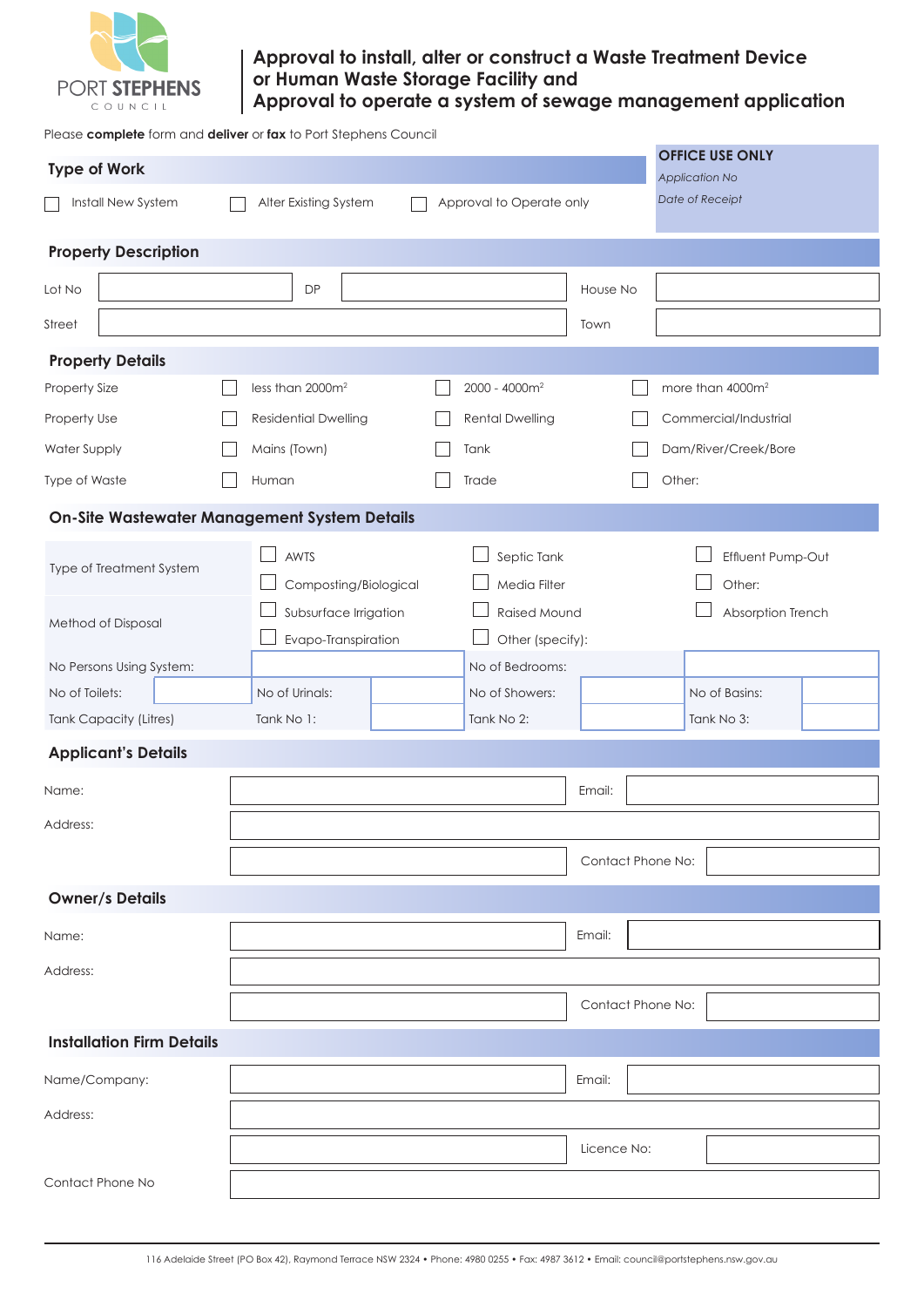

# **Approval to install, alter or construct a Waste Treatment Device or Human Waste Storage Facility and Approval to operate a system of sewage management application**

Please **complete** form and **deliver** or **fax** to Port Stephens Council

| <b>Type of Work</b>                                                        |  |                                                                               |  |                                                                                    |                   |        | <b>OFFICE USE ONLY</b><br>Application No<br>Date of Receipt |  |
|----------------------------------------------------------------------------|--|-------------------------------------------------------------------------------|--|------------------------------------------------------------------------------------|-------------------|--------|-------------------------------------------------------------|--|
| Install New System<br>Alter Existing System<br>Approval to Operate only    |  |                                                                               |  |                                                                                    |                   |        |                                                             |  |
| <b>Property Description</b>                                                |  |                                                                               |  |                                                                                    |                   |        |                                                             |  |
| Lot No                                                                     |  | <b>DP</b>                                                                     |  |                                                                                    | House No          |        |                                                             |  |
| Street                                                                     |  |                                                                               |  |                                                                                    | Town              |        |                                                             |  |
| <b>Property Details</b>                                                    |  |                                                                               |  |                                                                                    |                   |        |                                                             |  |
| Property Size                                                              |  | less than 2000m <sup>2</sup>                                                  |  | 2000 - 4000m <sup>2</sup>                                                          |                   |        | more than 4000m <sup>2</sup>                                |  |
| Property Use                                                               |  | <b>Residential Dwelling</b>                                                   |  | <b>Rental Dwelling</b>                                                             |                   |        | Commercial/Industrial                                       |  |
| <b>Water Supply</b>                                                        |  | Mains (Town)                                                                  |  | Tank                                                                               |                   |        | Dam/River/Creek/Bore                                        |  |
| Type of Waste                                                              |  | Human                                                                         |  | Trade                                                                              |                   | Other: |                                                             |  |
|                                                                            |  | <b>On-Site Wastewater Management System Details</b>                           |  |                                                                                    |                   |        |                                                             |  |
| Type of Treatment System<br>Method of Disposal<br>No Persons Using System: |  | AWTS<br>Composting/Biological<br>Subsurface Irrigation<br>Evapo-Transpiration |  | Septic Tank<br>Media Filter<br>Raised Mound<br>Other (specify):<br>No of Bedrooms: |                   |        | Effluent Pump-Out<br>Other:<br>Absorption Trench            |  |
| No of Toilets:                                                             |  | No of Urinals:                                                                |  | No of Showers:                                                                     |                   |        | No of Basins:                                               |  |
| <b>Tank Capacity (Litres)</b>                                              |  | Tank No 1:                                                                    |  | Tank No 2:                                                                         |                   |        | Tank No 3:                                                  |  |
| <b>Applicant's Details</b>                                                 |  |                                                                               |  |                                                                                    |                   |        |                                                             |  |
| Name:                                                                      |  |                                                                               |  |                                                                                    | Email:            |        |                                                             |  |
| Address:                                                                   |  |                                                                               |  |                                                                                    |                   |        |                                                             |  |
|                                                                            |  |                                                                               |  |                                                                                    | Contact Phone No: |        |                                                             |  |
| <b>Owner/s Details</b>                                                     |  |                                                                               |  |                                                                                    |                   |        |                                                             |  |
| Name:                                                                      |  |                                                                               |  |                                                                                    | Email:            |        |                                                             |  |
| Address:                                                                   |  |                                                                               |  |                                                                                    |                   |        |                                                             |  |
|                                                                            |  |                                                                               |  |                                                                                    | Contact Phone No: |        |                                                             |  |
| <b>Installation Firm Details</b>                                           |  |                                                                               |  |                                                                                    |                   |        |                                                             |  |
| Name/Company:                                                              |  |                                                                               |  |                                                                                    | Email:            |        |                                                             |  |
| Address:                                                                   |  |                                                                               |  |                                                                                    |                   |        |                                                             |  |
|                                                                            |  |                                                                               |  |                                                                                    | Licence No:       |        |                                                             |  |
| Contact Phone No                                                           |  |                                                                               |  |                                                                                    |                   |        |                                                             |  |